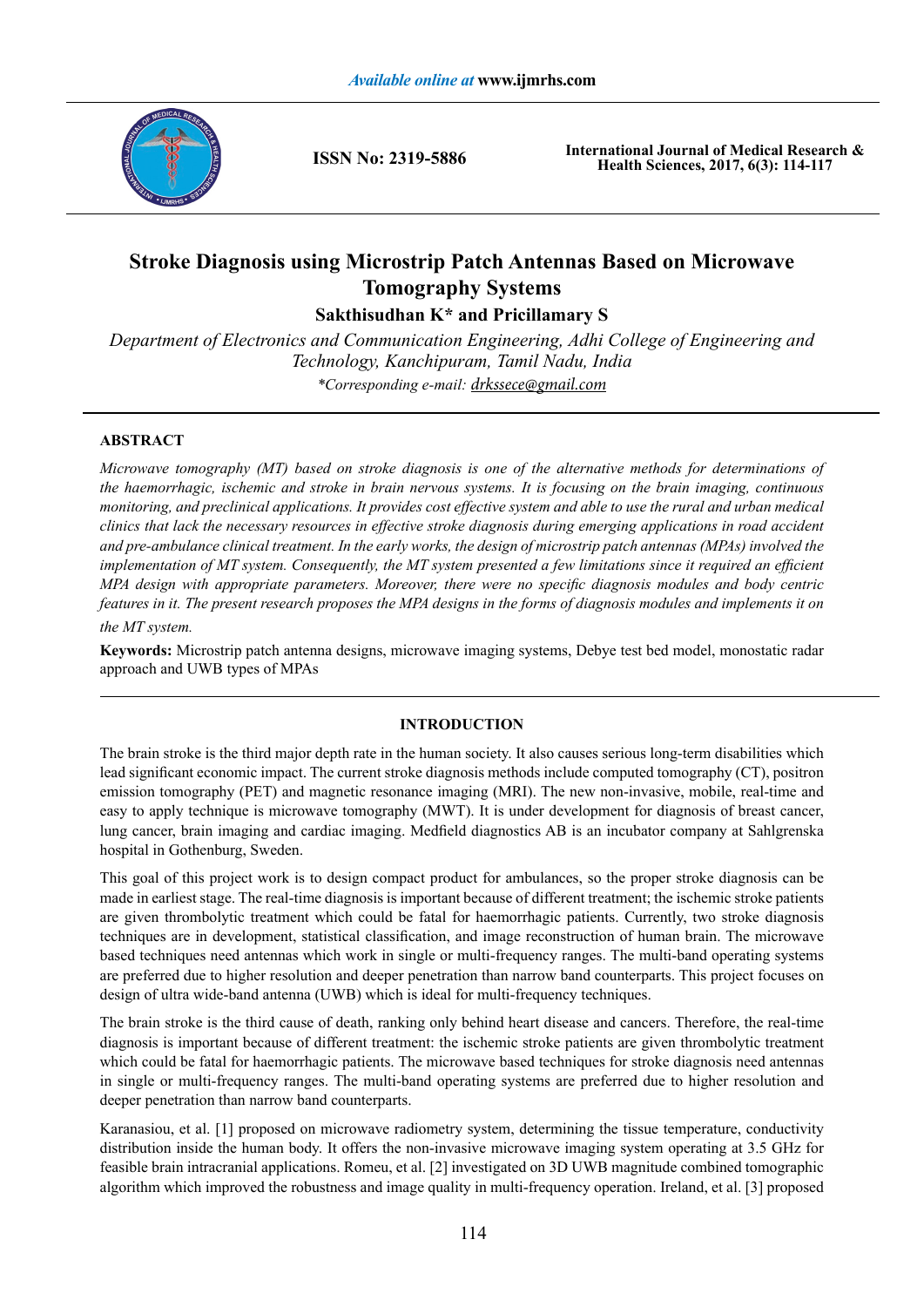

**ISSN No: 2319-5886**

**International Journal of Medical Research & Health Sciences, 2017, 6(3): 114-117**

# **Stroke Diagnosis using Microstrip Patch Antennas Based on Microwave Tomography Systems**

**Sakthisudhan K\* and Pricillamary S**

*Department of Electronics and Communication Engineering, Adhi College of Engineering and Technology, Kanchipuram, Tamil Nadu, India \*Corresponding e-mail: drkssece@gmail.com*

## **ABSTRACT**

*Microwave tomography (MT) based on stroke diagnosis is one of the alternative methods for determinations of the haemorrhagic, ischemic and stroke in brain nervous systems. It is focusing on the brain imaging, continuous monitoring, and preclinical applications. It provides cost effective system and able to use the rural and urban medical clinics that lack the necessary resources in effective stroke diagnosis during emerging applications in road accident and pre-ambulance clinical treatment. In the early works, the design of microstrip patch antennas (MPAs) involved the implementation of MT system. Consequently, the MT system presented a few limitations since it required an efficient MPA design with appropriate parameters. Moreover, there were no specific diagnosis modules and body centric features in it. The present research proposes the MPA designs in the forms of diagnosis modules and implements it on the MT system.*

**Keywords:** Microstrip patch antenna designs, microwave imaging systems, Debye test bed model, monostatic radar approach and UWB types of MPAs

### **INTRODUCTION**

The brain stroke is the third major depth rate in the human society. It also causes serious long-term disabilities which lead significant economic impact. The current stroke diagnosis methods include computed tomography (CT), positron emission tomography (PET) and magnetic resonance imaging (MRI). The new non-invasive, mobile, real-time and easy to apply technique is microwave tomography (MWT). It is under development for diagnosis of breast cancer, lung cancer, brain imaging and cardiac imaging. Medfield diagnostics AB is an incubator company at Sahlgrenska hospital in Gothenburg, Sweden.

This goal of this project work is to design compact product for ambulances, so the proper stroke diagnosis can be made in earliest stage. The real-time diagnosis is important because of different treatment; the ischemic stroke patients are given thrombolytic treatment which could be fatal for haemorrhagic patients. Currently, two stroke diagnosis techniques are in development, statistical classification, and image reconstruction of human brain. The microwave based techniques need antennas which work in single or multi-frequency ranges. The multi-band operating systems are preferred due to higher resolution and deeper penetration than narrow band counterparts. This project focuses on design of ultra wide-band antenna (UWB) which is ideal for multi-frequency techniques.

The brain stroke is the third cause of death, ranking only behind heart disease and cancers. Therefore, the real-time diagnosis is important because of different treatment: the ischemic stroke patients are given thrombolytic treatment which could be fatal for haemorrhagic patients. The microwave based techniques for stroke diagnosis need antennas in single or multi-frequency ranges. The multi-band operating systems are preferred due to higher resolution and deeper penetration than narrow band counterparts.

Karanasiou, et al. [1] proposed on microwave radiometry system, determining the tissue temperature, conductivity distribution inside the human body. It offers the non-invasive microwave imaging system operating at 3.5 GHz for feasible brain intracranial applications. Romeu, et al. [2] investigated on 3D UWB magnitude combined tomographic algorithm which improved the robustness and image quality in multi-frequency operation. Ireland, et al. [3] proposed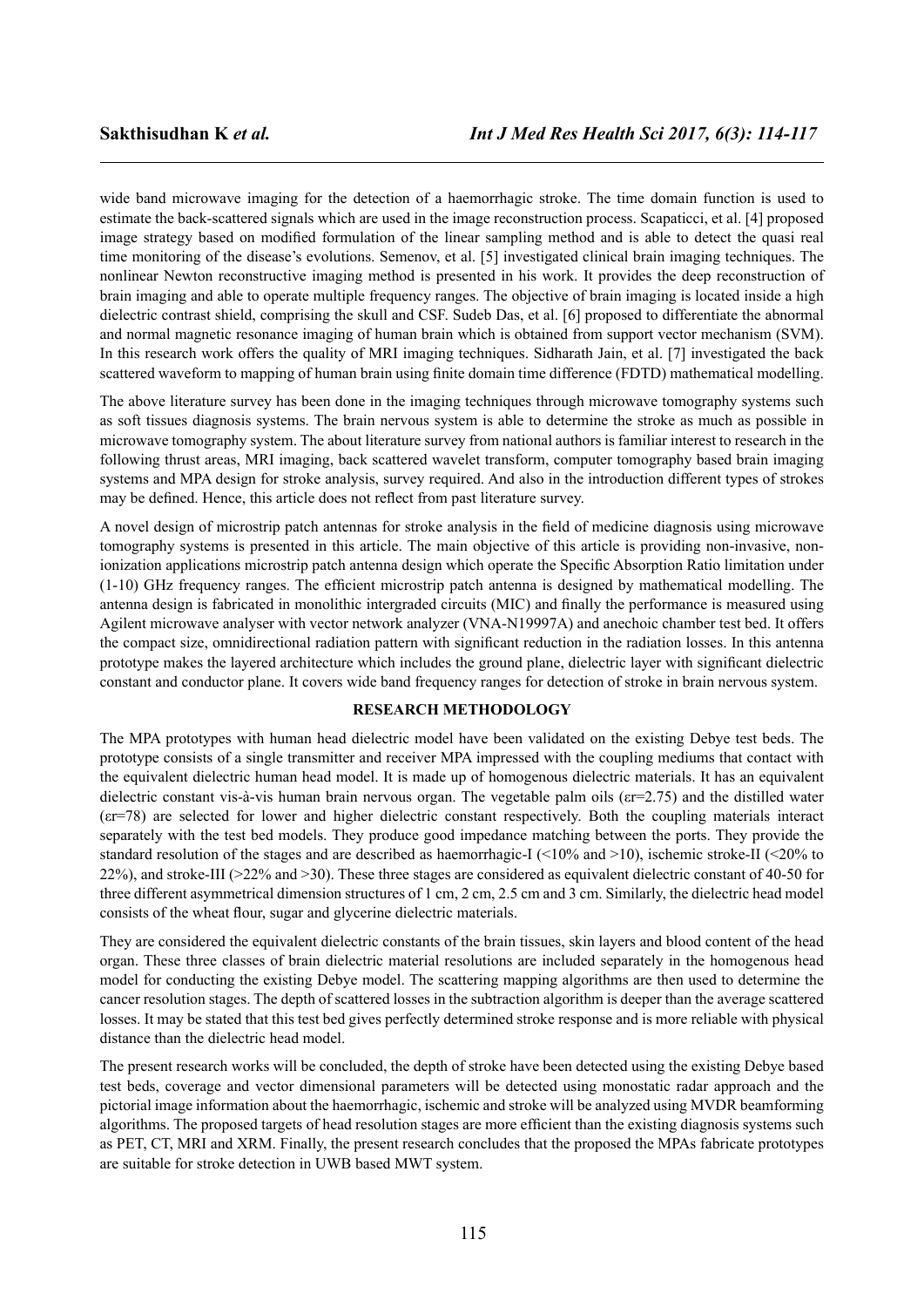wide band microwave imaging for the detection of a haemorrhagic stroke. The time domain function is used to estimate the back-scattered signals which are used in the image reconstruction process. Scapaticci, et al. [4] proposed image strategy based on modified formulation of the linear sampling method and is able to detect the quasi real time monitoring of the disease's evolutions. Semenov, et al. [5] investigated clinical brain imaging techniques. The nonlinear Newton reconstructive imaging method is presented in his work. It provides the deep reconstruction of brain imaging and able to operate multiple frequency ranges. The objective of brain imaging is located inside a high dielectric contrast shield, comprising the skull and CSF. Sudeb Das, et al. [6] proposed to differentiate the abnormal and normal magnetic resonance imaging of human brain which is obtained from support vector mechanism (SVM). In this research work offers the quality of MRI imaging techniques. Sidharath Jain, et al. [7] investigated the back scattered waveform to mapping of human brain using finite domain time difference (FDTD) mathematical modelling.

The above literature survey has been done in the imaging techniques through microwave tomography systems such as soft tissues diagnosis systems. The brain nervous system is able to determine the stroke as much as possible in microwave tomography system. The about literature survey from national authors is familiar interest to research in the following thrust areas, MRI imaging, back scattered wavelet transform, computer tomography based brain imaging systems and MPA design for stroke analysis, survey required. And also in the introduction different types of strokes may be defined. Hence, this article does not reflect from past literature survey.

A novel design of microstrip patch antennas for stroke analysis in the field of medicine diagnosis using microwave tomography systems is presented in this article. The main objective of this article is providing non-invasive, nonionization applications microstrip patch antenna design which operate the Specific Absorption Ratio limitation under (1-10) GHz frequency ranges. The efficient microstrip patch antenna is designed by mathematical modelling. The antenna design is fabricated in monolithic intergraded circuits (MIC) and finally the performance is measured using Agilent microwave analyser with vector network analyzer (VNA-N19997A) and anechoic chamber test bed. It offers the compact size, omnidirectional radiation pattern with significant reduction in the radiation losses. In this antenna prototype makes the layered architecture which includes the ground plane, dielectric layer with significant dielectric constant and conductor plane. It covers wide band frequency ranges for detection of stroke in brain nervous system.

#### **RESEARCH METHODOLOGY**

The MPA prototypes with human head dielectric model have been validated on the existing Debye test beds. The prototype consists of a single transmitter and receiver MPA impressed with the coupling mediums that contact with the equivalent dielectric human head model. It is made up of homogenous dielectric materials. It has an equivalent dielectric constant vis-à-vis human brain nervous organ. The vegetable palm oils (εr=2.75) and the distilled water (εr=78) are selected for lower and higher dielectric constant respectively. Both the coupling materials interact separately with the test bed models. They produce good impedance matching between the ports. They provide the standard resolution of the stages and are described as haemorrhagic-I ( $\leq$ 10% and  $\geq$ 10), ischemic stroke-II ( $\leq$ 20% to 22%), and stroke-III (>22% and >30). These three stages are considered as equivalent dielectric constant of 40-50 for three different asymmetrical dimension structures of 1 cm, 2 cm, 2.5 cm and 3 cm. Similarly, the dielectric head model consists of the wheat flour, sugar and glycerine dielectric materials.

They are considered the equivalent dielectric constants of the brain tissues, skin layers and blood content of the head organ. These three classes of brain dielectric material resolutions are included separately in the homogenous head model for conducting the existing Debye model. The scattering mapping algorithms are then used to determine the cancer resolution stages. The depth of scattered losses in the subtraction algorithm is deeper than the average scattered losses. It may be stated that this test bed gives perfectly determined stroke response and is more reliable with physical distance than the dielectric head model.

The present research works will be concluded, the depth of stroke have been detected using the existing Debye based test beds, coverage and vector dimensional parameters will be detected using monostatic radar approach and the pictorial image information about the haemorrhagic, ischemic and stroke will be analyzed using MVDR beamforming algorithms. The proposed targets of head resolution stages are more efficient than the existing diagnosis systems such as PET, CT, MRI and XRM. Finally, the present research concludes that the proposed the MPAs fabricate prototypes are suitable for stroke detection in UWB based MWT system.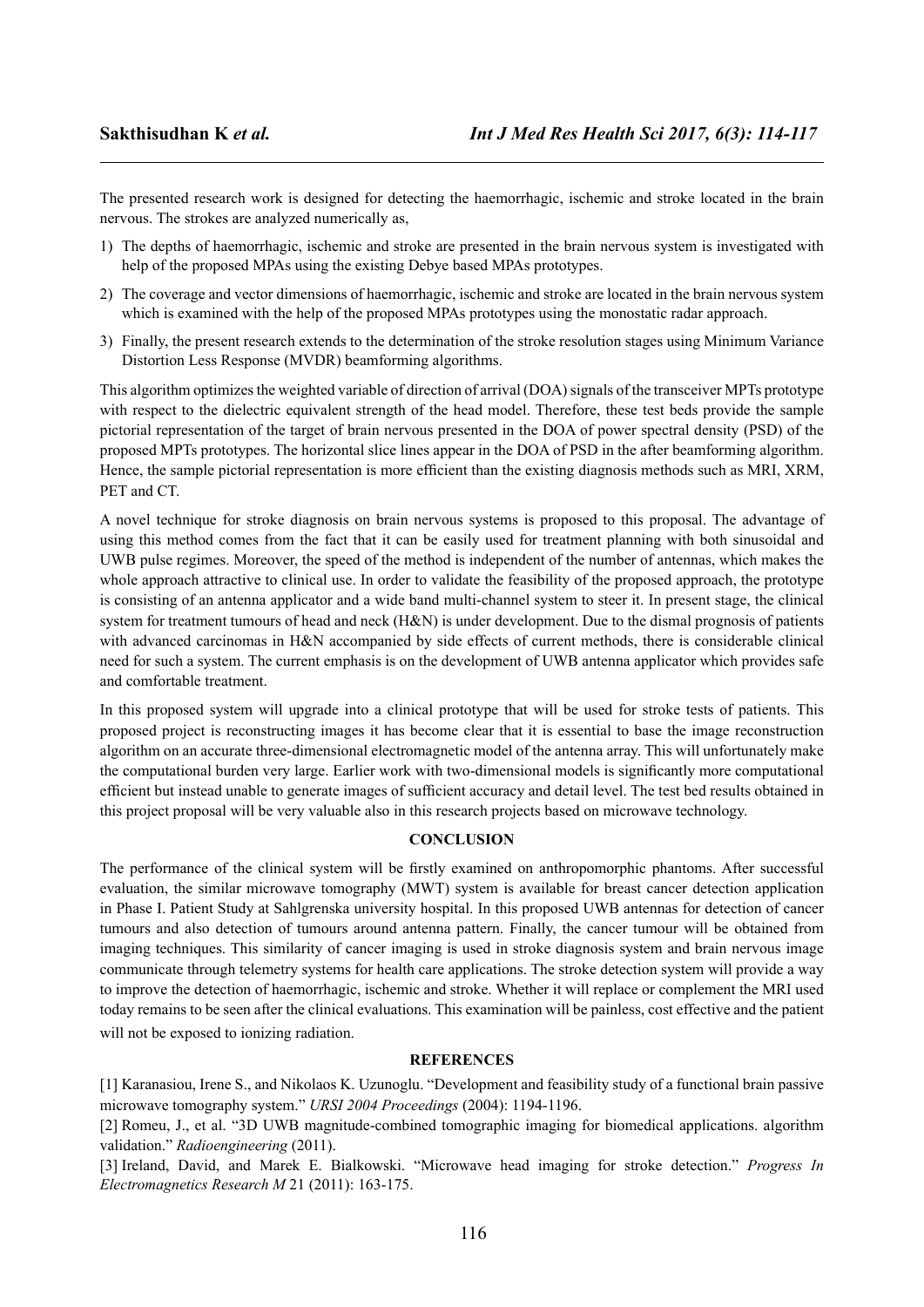The presented research work is designed for detecting the haemorrhagic, ischemic and stroke located in the brain nervous. The strokes are analyzed numerically as,

- 1) The depths of haemorrhagic, ischemic and stroke are presented in the brain nervous system is investigated with help of the proposed MPAs using the existing Debye based MPAs prototypes.
- 2) The coverage and vector dimensions of haemorrhagic, ischemic and stroke are located in the brain nervous system which is examined with the help of the proposed MPAs prototypes using the monostatic radar approach.
- 3) Finally, the present research extends to the determination of the stroke resolution stages using Minimum Variance Distortion Less Response (MVDR) beamforming algorithms.

This algorithm optimizes the weighted variable of direction of arrival (DOA) signals of the transceiver MPTs prototype with respect to the dielectric equivalent strength of the head model. Therefore, these test beds provide the sample pictorial representation of the target of brain nervous presented in the DOA of power spectral density (PSD) of the proposed MPTs prototypes. The horizontal slice lines appear in the DOA of PSD in the after beamforming algorithm. Hence, the sample pictorial representation is more efficient than the existing diagnosis methods such as MRI, XRM, PET and CT.

A novel technique for stroke diagnosis on brain nervous systems is proposed to this proposal. The advantage of using this method comes from the fact that it can be easily used for treatment planning with both sinusoidal and UWB pulse regimes. Moreover, the speed of the method is independent of the number of antennas, which makes the whole approach attractive to clinical use. In order to validate the feasibility of the proposed approach, the prototype is consisting of an antenna applicator and a wide band multi-channel system to steer it. In present stage, the clinical system for treatment tumours of head and neck (H&N) is under development. Due to the dismal prognosis of patients with advanced carcinomas in H&N accompanied by side effects of current methods, there is considerable clinical need for such a system. The current emphasis is on the development of UWB antenna applicator which provides safe and comfortable treatment.

In this proposed system will upgrade into a clinical prototype that will be used for stroke tests of patients. This proposed project is reconstructing images it has become clear that it is essential to base the image reconstruction algorithm on an accurate three-dimensional electromagnetic model of the antenna array. This will unfortunately make the computational burden very large. Earlier work with two-dimensional models is significantly more computational efficient but instead unable to generate images of sufficient accuracy and detail level. The test bed results obtained in this project proposal will be very valuable also in this research projects based on microwave technology.

#### **CONCLUSION**

The performance of the clinical system will be firstly examined on anthropomorphic phantoms. After successful evaluation, the similar microwave tomography (MWT) system is available for breast cancer detection application in Phase I. Patient Study at Sahlgrenska university hospital. In this proposed UWB antennas for detection of cancer tumours and also detection of tumours around antenna pattern. Finally, the cancer tumour will be obtained from imaging techniques. This similarity of cancer imaging is used in stroke diagnosis system and brain nervous image communicate through telemetry systems for health care applications. The stroke detection system will provide a way to improve the detection of haemorrhagic, ischemic and stroke. Whether it will replace or complement the MRI used today remains to be seen after the clinical evaluations. This examination will be painless, cost effective and the patient will not be exposed to ionizing radiation.

#### **REFERENCES**

[1] Karanasiou, Irene S., and Nikolaos K. Uzunoglu. "Development and feasibility study of a functional brain passive microwave tomography system." *URSI 2004 Proceedings* (2004): 1194-1196.

[2] Romeu, J., et al. "3D UWB magnitude-combined tomographic imaging for biomedical applications. algorithm validation." *Radioengineering* (2011).

[3] Ireland, David, and Marek E. Bialkowski. "Microwave head imaging for stroke detection." *Progress In Electromagnetics Research M* 21 (2011): 163-175.